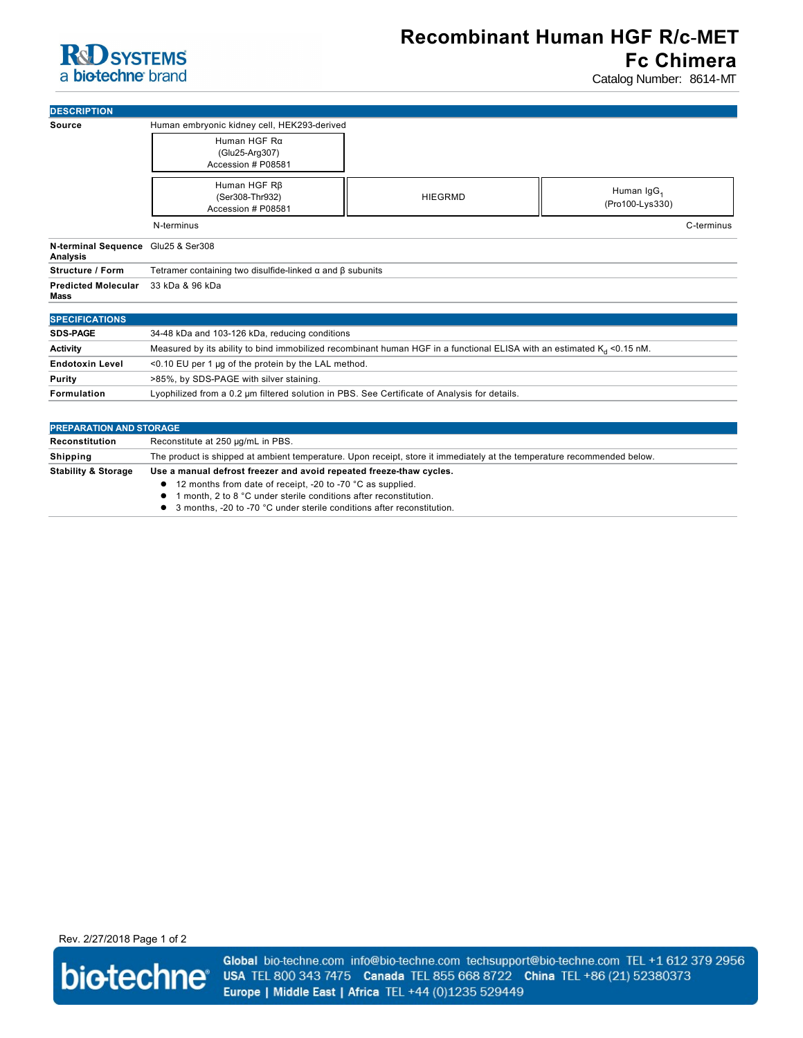## **R&D** SYSTEMS a biotechne brand

Catalog Number: 8614-MT

| <b>DESCRIPTION</b>                             |                                                                                                                           |                |                        |
|------------------------------------------------|---------------------------------------------------------------------------------------------------------------------------|----------------|------------------------|
| <b>Source</b>                                  | Human embryonic kidney cell, HEK293-derived                                                                               |                |                        |
|                                                | Human HGF Rg                                                                                                              |                |                        |
|                                                | (Glu25-Arg307)                                                                                                            |                |                        |
|                                                | Accession # P08581                                                                                                        |                |                        |
|                                                | Human HGF R <sub>B</sub>                                                                                                  |                |                        |
|                                                | (Ser308-Thr932)                                                                                                           | <b>HIEGRMD</b> | Human IgG <sub>1</sub> |
|                                                | Accession # P08581                                                                                                        |                | (Pro100-Lys330)        |
|                                                | N-terminus                                                                                                                |                | C-terminus             |
| N-terminal Sequence Glu25 & Ser308<br>Analysis |                                                                                                                           |                |                        |
| <b>Structure / Form</b>                        | Tetramer containing two disulfide-linked $\alpha$ and $\beta$ subunits                                                    |                |                        |
| <b>Predicted Molecular</b><br>Mass             | 33 kDa & 96 kDa                                                                                                           |                |                        |
| <b>SPECIFICATIONS</b>                          |                                                                                                                           |                |                        |
| <b>SDS-PAGE</b>                                | 34-48 kDa and 103-126 kDa, reducing conditions                                                                            |                |                        |
| <b>Activity</b>                                | Measured by its ability to bind immobilized recombinant human HGF in a functional ELISA with an estimated $K_d$ <0.15 nM. |                |                        |
| <b>Endotoxin Level</b>                         | <0.10 EU per 1 µg of the protein by the LAL method.                                                                       |                |                        |
| Purity                                         | >85%, by SDS-PAGE with silver staining.                                                                                   |                |                        |
| Formulation                                    | Lyophilized from a 0.2 um filtered solution in PBS. See Certificate of Analysis for details.                              |                |                        |
|                                                |                                                                                                                           |                |                        |

| <b>PREPARATION AND STORAGE</b> |                                                                                                                                                                                                                                                                                    |  |  |
|--------------------------------|------------------------------------------------------------------------------------------------------------------------------------------------------------------------------------------------------------------------------------------------------------------------------------|--|--|
| Reconstitution                 | Reconstitute at 250 µg/mL in PBS.                                                                                                                                                                                                                                                  |  |  |
| <b>Shipping</b>                | The product is shipped at ambient temperature. Upon receipt, store it immediately at the temperature recommended below.                                                                                                                                                            |  |  |
| <b>Stability &amp; Storage</b> | Use a manual defrost freezer and avoid repeated freeze-thaw cycles.<br>• 12 months from date of receipt, -20 to -70 °C as supplied.<br>month, 2 to 8 °C under sterile conditions after reconstitution.<br>• 3 months, -20 to -70 °C under sterile conditions after reconstitution. |  |  |

Rev. 2/27/2018 Page 1 of 2



Global bio-techne.com info@bio-techne.com techsupport@bio-techne.com TEL +1 612 379 2956 USA TEL 800 343 7475 Canada TEL 855 668 8722 China TEL +86 (21) 52380373 Europe | Middle East | Africa TEL +44 (0)1235 529449